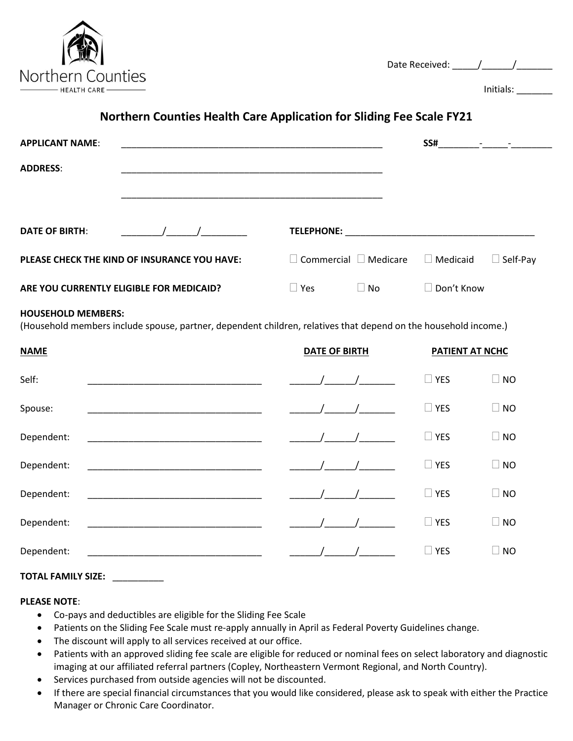

| Initials: |  |
|-----------|--|
|-----------|--|

# **Northern Counties Health Care Application for Sliding Fee Scale FY21**

| <b>APPLICANT NAME:</b>                       |            |                                   |           | SS#             | where the company of the company |
|----------------------------------------------|------------|-----------------------------------|-----------|-----------------|----------------------------------|
| <b>ADDRESS:</b>                              |            |                                   |           |                 |                                  |
|                                              |            |                                   |           |                 |                                  |
| <b>DATE OF BIRTH:</b>                        | $\sqrt{1}$ | <b>TELEPHONE:</b>                 |           |                 |                                  |
| PLEASE CHECK THE KIND OF INSURANCE YOU HAVE: |            | $\Box$ Commercial $\Box$ Medicare |           | $\Box$ Medicaid | $\Box$ Self-Pay                  |
| ARE YOU CURRENTLY ELIGIBLE FOR MEDICAID?     |            | $\sqcup$ Yes                      | l No<br>L | □ Don't Know    |                                  |

#### **HOUSEHOLD MEMBERS:**

(Household members include spouse, partner, dependent children, relatives that depend on the household income.)

| <b>NAME</b> | <b>DATE OF BIRTH</b> | PATIENT AT NCHC |                     |
|-------------|----------------------|-----------------|---------------------|
| Self:       |                      | $\Box$ YES      | <b>NO</b><br>$\Box$ |
| Spouse:     |                      | $\Box$ YES      | $\Box$<br><b>NO</b> |
| Dependent:  |                      | $\Box$ YES      | П<br><b>NO</b>      |
| Dependent:  |                      | $\Box$ YES      | $\Box$ NO           |
| Dependent:  |                      | $\Box$ YES      | $\Box$ NO           |
| Dependent:  |                      | $\Box$ YES      | $\Box$ NO           |
| Dependent:  |                      | $\Box$ YES      | <b>NO</b>           |

## **TOTAL FAMILY SIZE:** \_\_\_\_\_\_\_\_\_\_

## **PLEASE NOTE**:

- Co-pays and deductibles are eligible for the Sliding Fee Scale
- Patients on the Sliding Fee Scale must re-apply annually in April as Federal Poverty Guidelines change.
- The discount will apply to all services received at our office.
- Patients with an approved sliding fee scale are eligible for reduced or nominal fees on select laboratory and diagnostic imaging at our affiliated referral partners (Copley, Northeastern Vermont Regional, and North Country).
- Services purchased from outside agencies will not be discounted.
- If there are special financial circumstances that you would like considered, please ask to speak with either the Practice Manager or Chronic Care Coordinator.